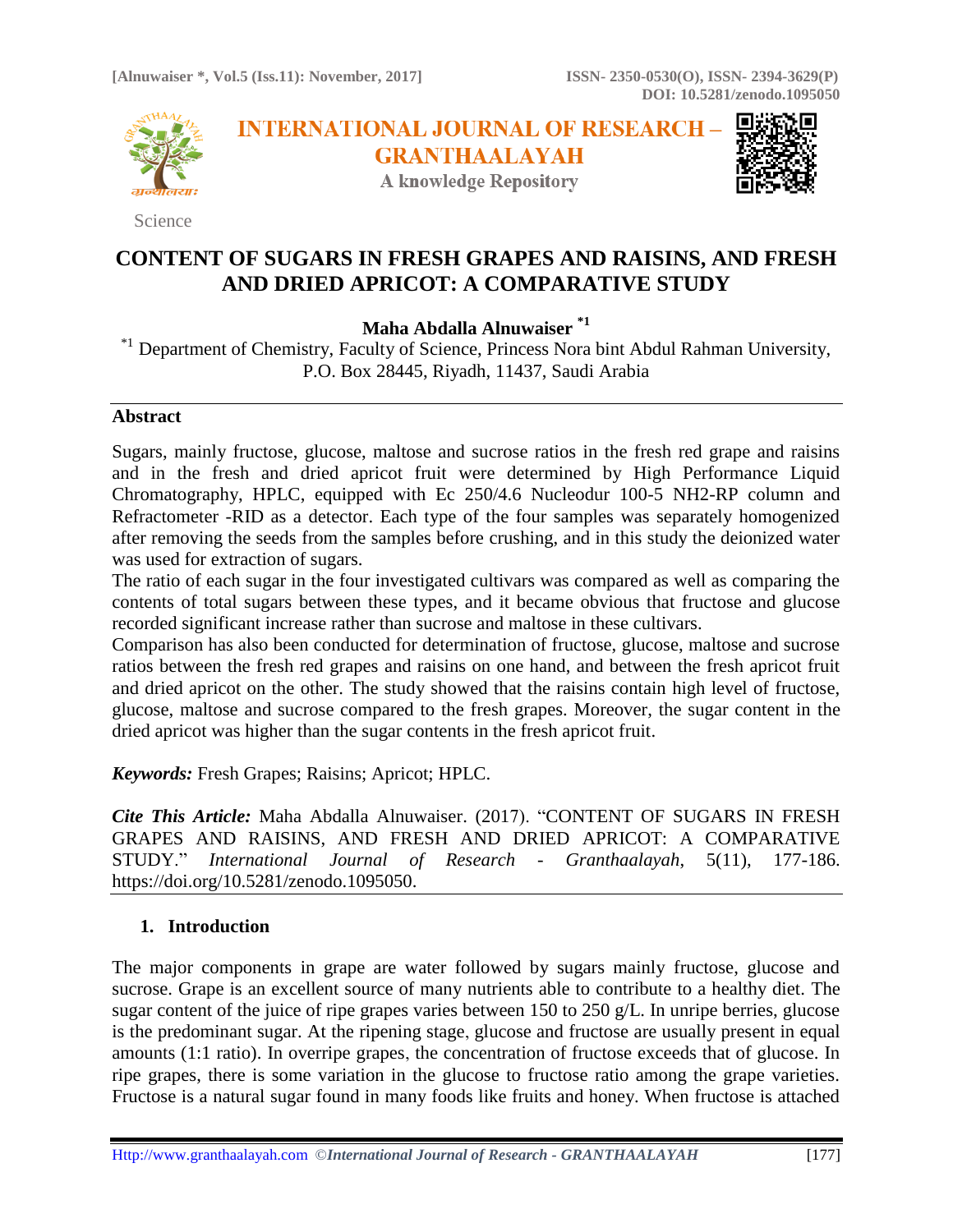

Science

**INTERNATIONAL JOURNAL OF RESEARCH -GRANTHAALAYAH** 

**A knowledge Repository** 



# **CONTENT OF SUGARS IN FRESH GRAPES AND RAISINS, AND FRESH AND DRIED APRICOT: A COMPARATIVE STUDY**

**Maha Abdalla Alnuwaiser \*1**

\*<sup>1</sup> Department of Chemistry, Faculty of Science, Princess Nora bint Abdul Rahman University, P.O. Box 28445, Riyadh, 11437, Saudi Arabia

### **Abstract**

Sugars, mainly fructose, glucose, maltose and sucrose ratios in the fresh red grape and raisins and in the fresh and dried apricot fruit were determined by High Performance Liquid Chromatography, HPLC, equipped with Ec 250/4.6 Nucleodur 100-5 NH2-RP column and Refractometer -RID as a detector. Each type of the four samples was separately homogenized after removing the seeds from the samples before crushing, and in this study the deionized water was used for extraction of sugars.

The ratio of each sugar in the four investigated cultivars was compared as well as comparing the contents of total sugars between these types, and it became obvious that fructose and glucose recorded significant increase rather than sucrose and maltose in these cultivars.

Comparison has also been conducted for determination of fructose, glucose, maltose and sucrose ratios between the fresh red grapes and raisins on one hand, and between the fresh apricot fruit and dried apricot on the other. The study showed that the raisins contain high level of fructose, glucose, maltose and sucrose compared to the fresh grapes. Moreover, the sugar content in the dried apricot was higher than the sugar contents in the fresh apricot fruit.

*Keywords:* Fresh Grapes; Raisins; Apricot; HPLC.

*Cite This Article:* Maha Abdalla Alnuwaiser. (2017). "CONTENT OF SUGARS IN FRESH GRAPES AND RAISINS, AND FRESH AND DRIED APRICOT: A COMPARATIVE STUDY." *International Journal of Research - Granthaalayah*, 5(11), 177-186. https://doi.org/10.5281/zenodo.1095050.

# **1. Introduction**

The major components in grape are water followed by sugars mainly fructose, glucose and sucrose. Grape is an excellent source of many nutrients able to contribute to a healthy diet. The sugar content of the juice of ripe grapes varies between 150 to 250 g/L. In unripe berries, glucose is the predominant sugar. At the ripening stage, glucose and fructose are usually present in equal amounts (1:1 ratio). In overripe grapes, the concentration of fructose exceeds that of glucose. In ripe grapes, there is some variation in the glucose to fructose ratio among the grape varieties. Fructose is a natural sugar found in many foods like fruits and honey. When fructose is attached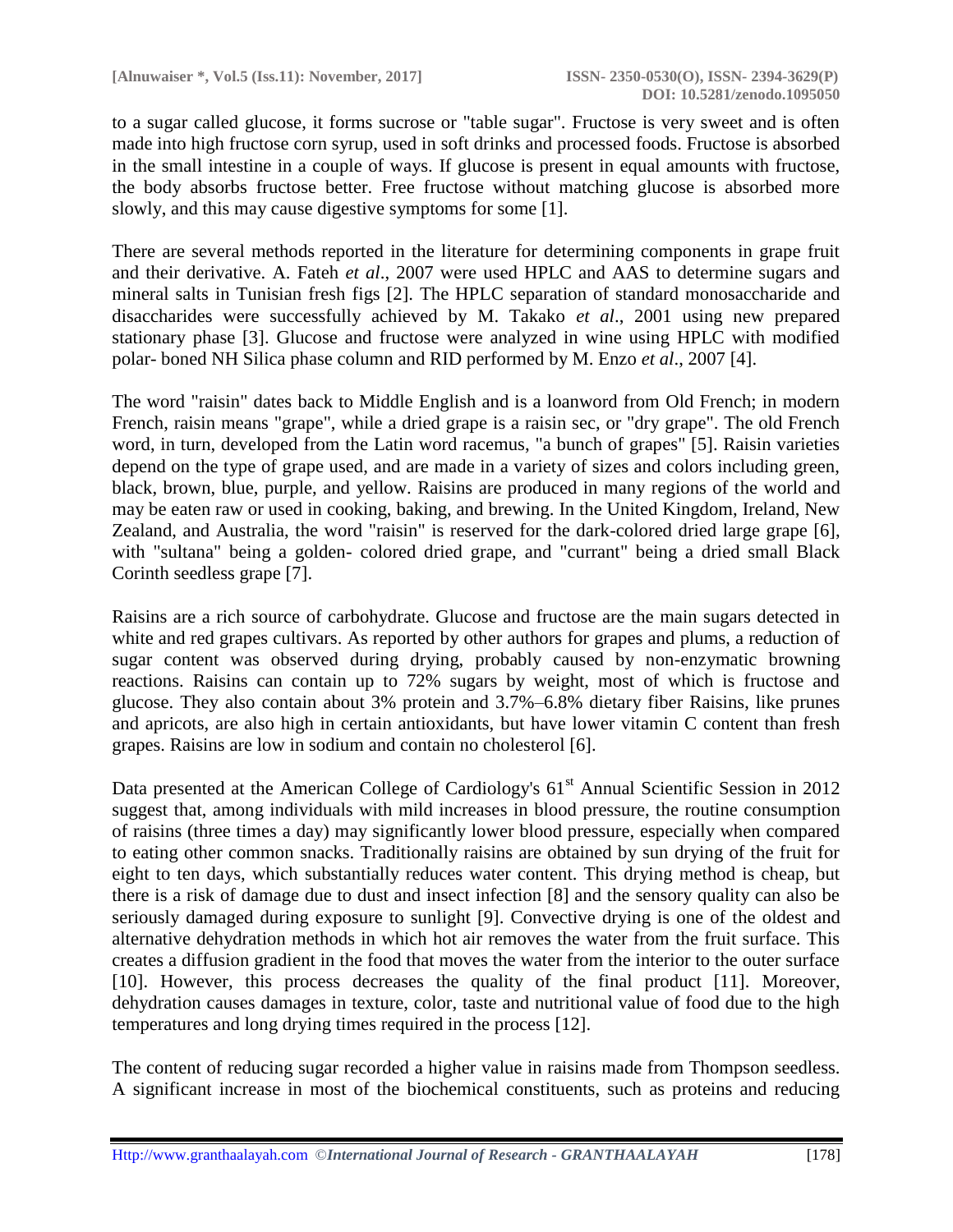to a sugar called glucose, it forms sucrose or "table sugar". Fructose is very sweet and is often made into high fructose corn syrup, used in soft drinks and processed foods. Fructose is absorbed in the small intestine in a couple of ways. If glucose is present in equal amounts with fructose, the body absorbs fructose better. Free fructose without matching glucose is absorbed more slowly, and this may cause digestive symptoms for some [1].

There are several methods reported in the literature for determining components in grape fruit and their derivative. A. Fateh *et al*., 2007 were used HPLC and AAS to determine sugars and mineral salts in Tunisian fresh figs [2]. The HPLC separation of standard monosaccharide and disaccharides were successfully achieved by M. Takako *et al*., 2001 using new prepared stationary phase [3]. Glucose and fructose were analyzed in wine using HPLC with modified polar- boned NH Silica phase column and RID performed by M. Enzo *et al*., 2007 [4].

The word "raisin" dates back to Middle English and is a loanword from Old French; in modern French, raisin means "grape", while a dried grape is a raisin sec, or "dry grape". The old French word, in turn, developed from the Latin word racemus, "a bunch of grapes" [5]. Raisin varieties depend on the type of grape used, and are made in a variety of sizes and colors including green, black, brown, blue, purple, and yellow. Raisins are produced in many regions of the world and may be eaten raw or used in cooking, baking, and brewing. In the United Kingdom, Ireland, New Zealand, and Australia, the word "raisin" is reserved for the dark-colored dried large grape [6], with "sultana" being a golden- colored dried grape, and "currant" being a dried small Black Corinth seedless grape [7].

Raisins are a rich source of carbohydrate. Glucose and fructose are the main sugars detected in white and red grapes cultivars. As reported by other authors for grapes and plums, a reduction of sugar content was observed during drying, probably caused by non-enzymatic browning reactions. Raisins can contain up to 72% sugars by weight, most of which is fructose and glucose. They also contain about 3% protein and 3.7%–6.8% dietary fiber Raisins, like prunes and apricots, are also high in certain antioxidants, but have lower vitamin C content than fresh grapes. Raisins are low in sodium and contain no cholesterol [6].

Data presented at the American College of Cardiology's  $61<sup>st</sup>$  Annual Scientific Session in 2012 suggest that, among individuals with mild increases in blood pressure, the routine consumption of raisins (three times a day) may significantly lower blood pressure, especially when compared to eating other common snacks. Traditionally raisins are obtained by sun drying of the fruit for eight to ten days, which substantially reduces water content. This drying method is cheap, but there is a risk of damage due to dust and insect infection [8] and the sensory quality can also be seriously damaged during exposure to sunlight [9]. Convective drying is one of the oldest and alternative dehydration methods in which hot air removes the water from the fruit surface. This creates a diffusion gradient in the food that moves the water from the interior to the outer surface [10]. However, this process decreases the quality of the final product [11]. Moreover, dehydration causes damages in texture, color, taste and nutritional value of food due to the high temperatures and long drying times required in the process [12].

The content of reducing sugar recorded a higher value in raisins made from Thompson seedless. A significant increase in most of the biochemical constituents, such as proteins and reducing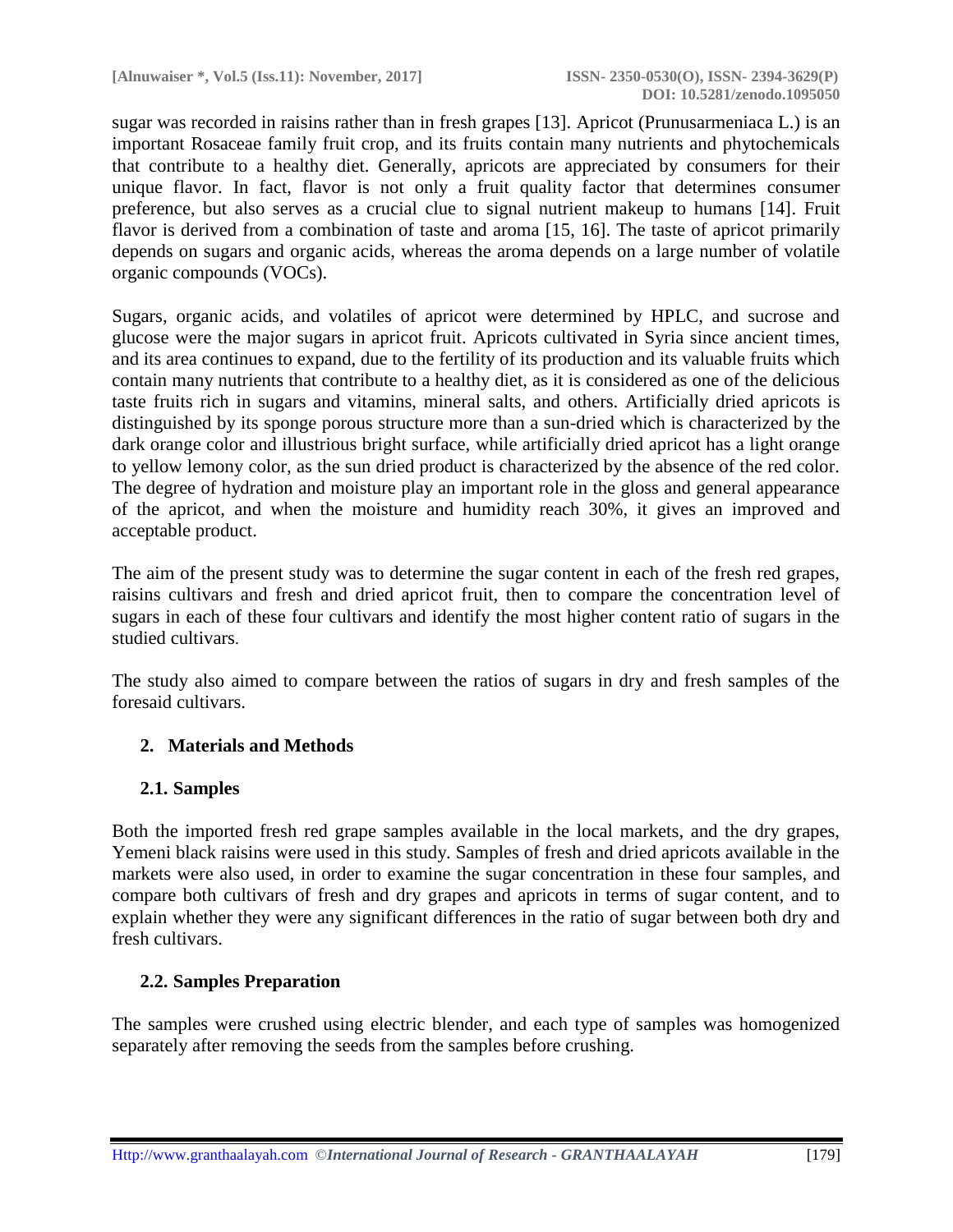sugar was recorded in raisins rather than in fresh grapes [13]. Apricot (Prunusarmeniaca L.) is an important Rosaceae family fruit crop, and its fruits contain many nutrients and phytochemicals that contribute to a healthy diet. Generally, apricots are appreciated by consumers for their unique flavor. In fact, flavor is not only a fruit quality factor that determines consumer preference, but also serves as a crucial clue to signal nutrient makeup to humans [14]. Fruit flavor is derived from a combination of taste and aroma [15, 16]. The taste of apricot primarily depends on sugars and organic acids, whereas the aroma depends on a large number of volatile organic compounds (VOCs).

Sugars, organic acids, and volatiles of apricot were determined by HPLC, and sucrose and glucose were the major sugars in apricot fruit. Apricots cultivated in Syria since ancient times, and its area continues to expand, due to the fertility of its production and its valuable fruits which contain many nutrients that contribute to a healthy diet, as it is considered as one of the delicious taste fruits rich in sugars and vitamins, mineral salts, and others. Artificially dried apricots is distinguished by its sponge porous structure more than a sun-dried which is characterized by the dark orange color and illustrious bright surface, while artificially dried apricot has a light orange to yellow lemony color, as the sun dried product is characterized by the absence of the red color. The degree of hydration and moisture play an important role in the gloss and general appearance of the apricot, and when the moisture and humidity reach 30%, it gives an improved and acceptable product.

The aim of the present study was to determine the sugar content in each of the fresh red grapes, raisins cultivars and fresh and dried apricot fruit, then to compare the concentration level of sugars in each of these four cultivars and identify the most higher content ratio of sugars in the studied cultivars.

The study also aimed to compare between the ratios of sugars in dry and fresh samples of the foresaid cultivars.

# **2. Materials and Methods**

# **2.1. Samples**

Both the imported fresh red grape samples available in the local markets, and the dry grapes, Yemeni black raisins were used in this study. Samples of fresh and dried apricots available in the markets were also used, in order to examine the sugar concentration in these four samples, and compare both cultivars of fresh and dry grapes and apricots in terms of sugar content, and to explain whether they were any significant differences in the ratio of sugar between both dry and fresh cultivars.

# **2.2. Samples Preparation**

The samples were crushed using electric blender, and each type of samples was homogenized separately after removing the seeds from the samples before crushing.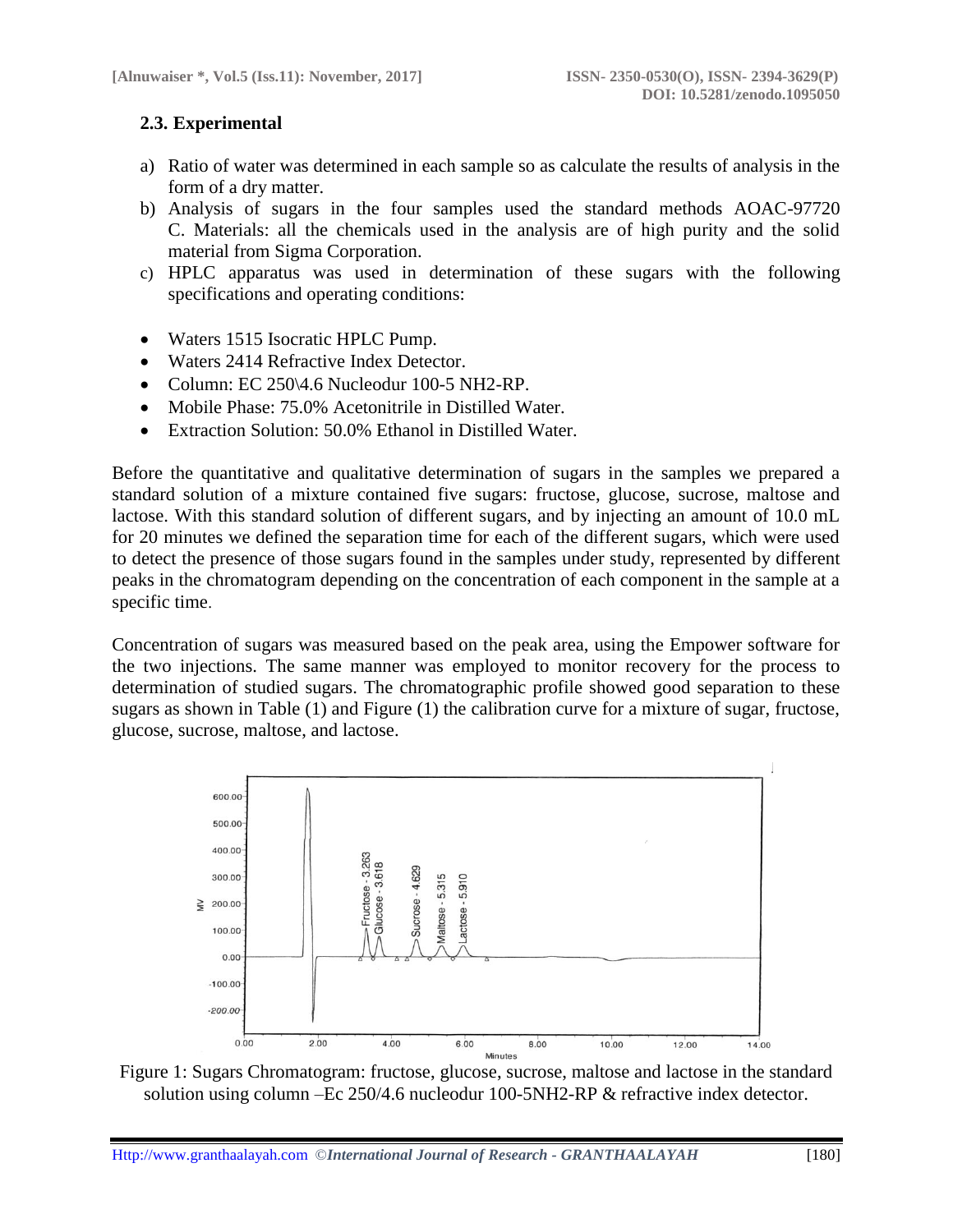# **2.3. Experimental**

- a) Ratio of water was determined in each sample so as calculate the results of analysis in the form of a dry matter.
- b) Analysis of sugars in the four samples used the standard methods AOAC-97720 C. Materials: all the chemicals used in the analysis are of high purity and the solid material from Sigma Corporation.
- c) HPLC apparatus was used in determination of these sugars with the following specifications and operating conditions:
- Waters 1515 Isocratic HPLC Pump.
- Waters 2414 Refractive Index Detector.
- Column: EC 250\4.6 Nucleodur 100-5 NH2-RP.
- Mobile Phase: 75.0% Acetonitrile in Distilled Water.
- Extraction Solution: 50.0% Ethanol in Distilled Water.

Before the quantitative and qualitative determination of sugars in the samples we prepared a standard solution of a mixture contained five sugars: fructose, glucose, sucrose, maltose and lactose. With this standard solution of different sugars, and by injecting an amount of 10.0 mL for 20 minutes we defined the separation time for each of the different sugars, which were used to detect the presence of those sugars found in the samples under study, represented by different peaks in the chromatogram depending on the concentration of each component in the sample at a specific time.

Concentration of sugars was measured based on the peak area, using the Empower software for the two injections. The same manner was employed to monitor recovery for the process to determination of studied sugars. The chromatographic profile showed good separation to these sugars as shown in Table (1) and Figure (1) the calibration curve for a mixture of sugar, fructose, glucose, sucrose, maltose, and lactose.



Figure 1: Sugars Chromatogram: fructose, glucose, sucrose, maltose and lactose in the standard solution using column –Ec 250/4.6 nucleodur 100-5NH2-RP & refractive index detector.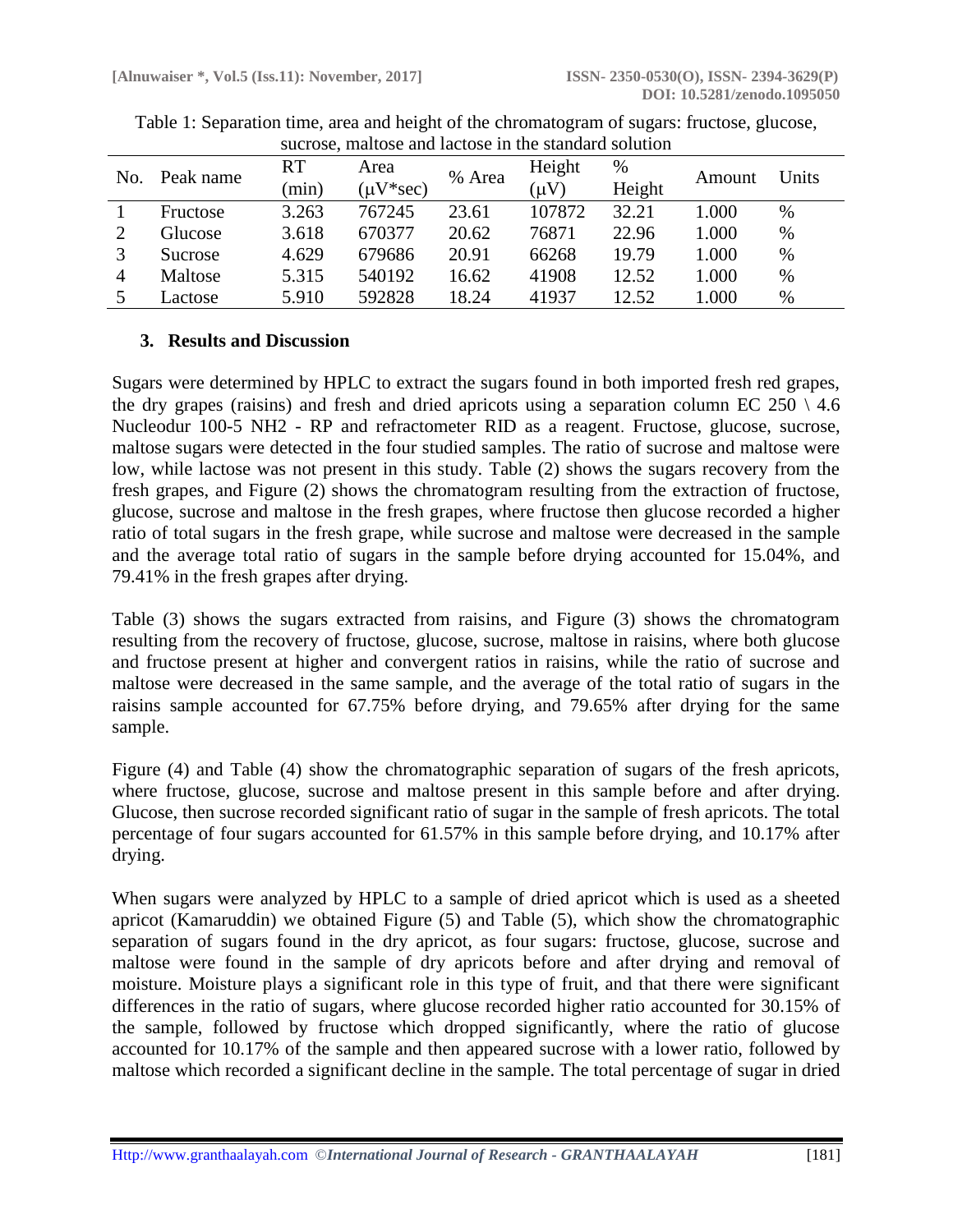| No. | Peak name | <b>RT</b> | Area           | % Area | Height    | %      | Amount | Units |
|-----|-----------|-----------|----------------|--------|-----------|--------|--------|-------|
|     |           | (min)     | $(\mu V^*sec)$ |        | $(\mu V)$ | Height |        |       |
|     | Fructose  | 3.263     | 767245         | 23.61  | 107872    | 32.21  | 1.000  | $\%$  |
|     | Glucose   | 3.618     | 670377         | 20.62  | 76871     | 22.96  | 1.000  | $\%$  |
|     | Sucrose   | 4.629     | 679686         | 20.91  | 66268     | 19.79  | 1.000  | $\%$  |
|     | Maltose   | 5.315     | 540192         | 16.62  | 41908     | 12.52  | 1.000  | $\%$  |
|     | Lactose   | 5.910     | 592828         | 18.24  | 41937     | 12.52  | 0.000  | %     |

Table 1: Separation time, area and height of the chromatogram of sugars: fructose, glucose, sucrose, maltose and lactose in the standard solution

#### **3. Results and Discussion**

Sugars were determined by HPLC to extract the sugars found in both imported fresh red grapes, the dry grapes (raisins) and fresh and dried apricots using a separation column EC 250  $\setminus$  4.6 Nucleodur 100-5 NH2 - RP and refractometer RID as a reagent. Fructose, glucose, sucrose, maltose sugars were detected in the four studied samples. The ratio of sucrose and maltose were low, while lactose was not present in this study. Table (2) shows the sugars recovery from the fresh grapes, and Figure (2) shows the chromatogram resulting from the extraction of fructose, glucose, sucrose and maltose in the fresh grapes, where fructose then glucose recorded a higher ratio of total sugars in the fresh grape, while sucrose and maltose were decreased in the sample and the average total ratio of sugars in the sample before drying accounted for 15.04%, and 79.41% in the fresh grapes after drying.

Table (3) shows the sugars extracted from raisins, and Figure (3) shows the chromatogram resulting from the recovery of fructose, glucose, sucrose, maltose in raisins, where both glucose and fructose present at higher and convergent ratios in raisins, while the ratio of sucrose and maltose were decreased in the same sample, and the average of the total ratio of sugars in the raisins sample accounted for 67.75% before drying, and 79.65% after drying for the same sample.

Figure (4) and Table (4) show the chromatographic separation of sugars of the fresh apricots, where fructose, glucose, sucrose and maltose present in this sample before and after drying. Glucose, then sucrose recorded significant ratio of sugar in the sample of fresh apricots. The total percentage of four sugars accounted for 61.57% in this sample before drying, and 10.17% after drying.

When sugars were analyzed by HPLC to a sample of dried apricot which is used as a sheeted apricot (Kamaruddin) we obtained Figure (5) and Table (5), which show the chromatographic separation of sugars found in the dry apricot, as four sugars: fructose, glucose, sucrose and maltose were found in the sample of dry apricots before and after drying and removal of moisture. Moisture plays a significant role in this type of fruit, and that there were significant differences in the ratio of sugars, where glucose recorded higher ratio accounted for 30.15% of the sample, followed by fructose which dropped significantly, where the ratio of glucose accounted for 10.17% of the sample and then appeared sucrose with a lower ratio, followed by maltose which recorded a significant decline in the sample. The total percentage of sugar in dried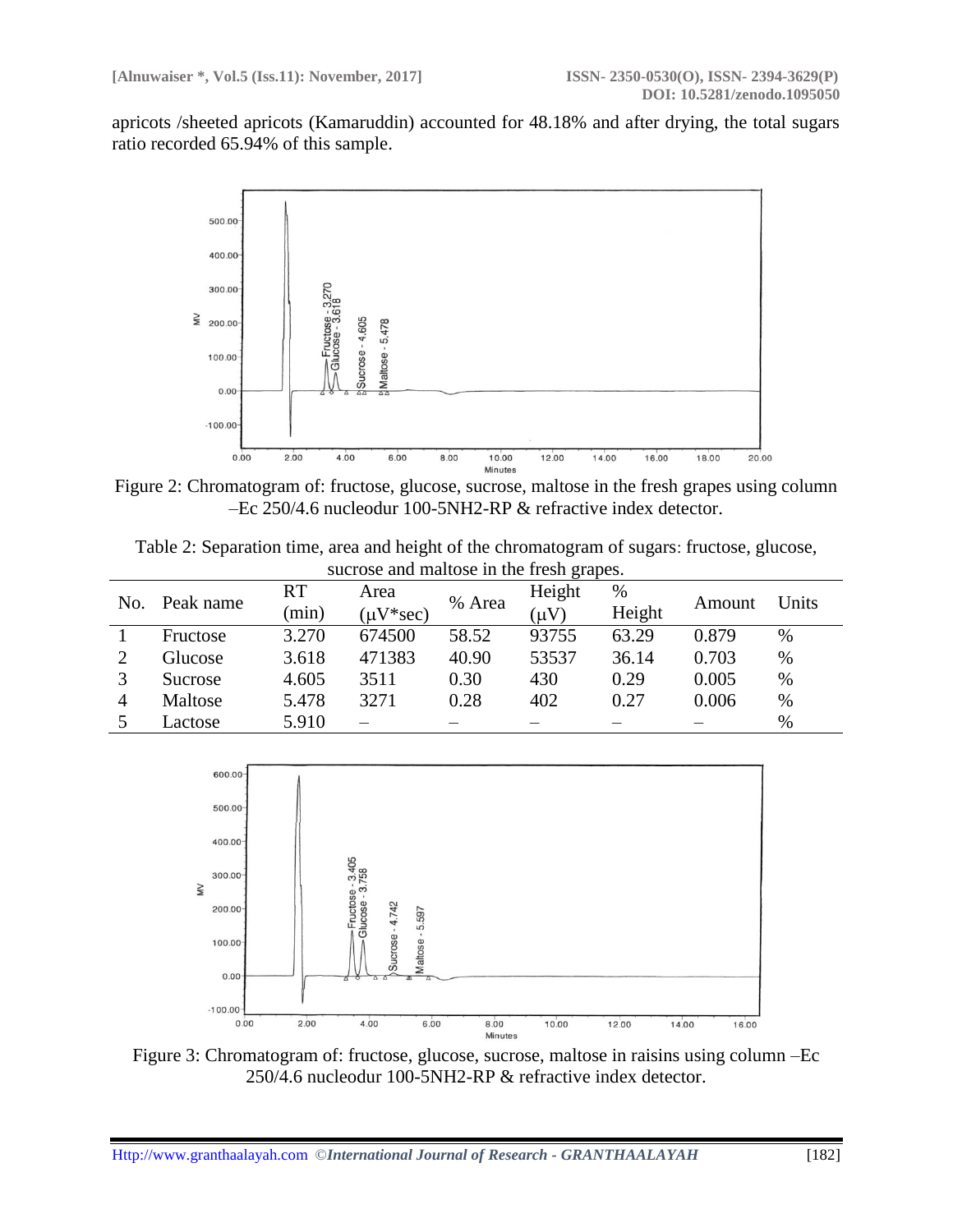apricots /sheeted apricots (Kamaruddin) accounted for 48.18% and after drying, the total sugars ratio recorded 65.94% of this sample.



Figure 2: Chromatogram of: fructose, glucose, sucrose, maltose in the fresh grapes using column –Ec 250/4.6 nucleodur 100-5NH2-RP & refractive index detector.

Table 2: Separation time, area and height of the chromatogram of sugars: fructose, glucose, sucrose and maltose in the fresh grapes.

| No. | Peak name      | <b>RT</b> | Area           | % Area | Height    | $\%$   | Amount | Units |
|-----|----------------|-----------|----------------|--------|-----------|--------|--------|-------|
|     |                | $(\min)$  | $\mu V^*$ sec) |        | $(\mu V)$ | Height |        |       |
|     | Fructose       | 3.270     | 674500         | 58.52  | 93755     | 63.29  | 0.879  | %     |
|     | Glucose        | 3.618     | 471383         | 40.90  | 53537     | 36.14  | 0.703  | $\%$  |
|     | <b>Sucrose</b> | 4.605     | 3511           | 0.30   | 430       | 0.29   | 0.005  | %     |
|     | Maltose        | 5.478     | 3271           | 0.28   | 402       | 0.27   | 0.006  | $\%$  |
|     | Lactose        | 5.910     |                |        |           |        |        | %     |



Figure 3: Chromatogram of: fructose, glucose, sucrose, maltose in raisins using column –Ec 250/4.6 nucleodur 100-5NH2-RP & refractive index detector.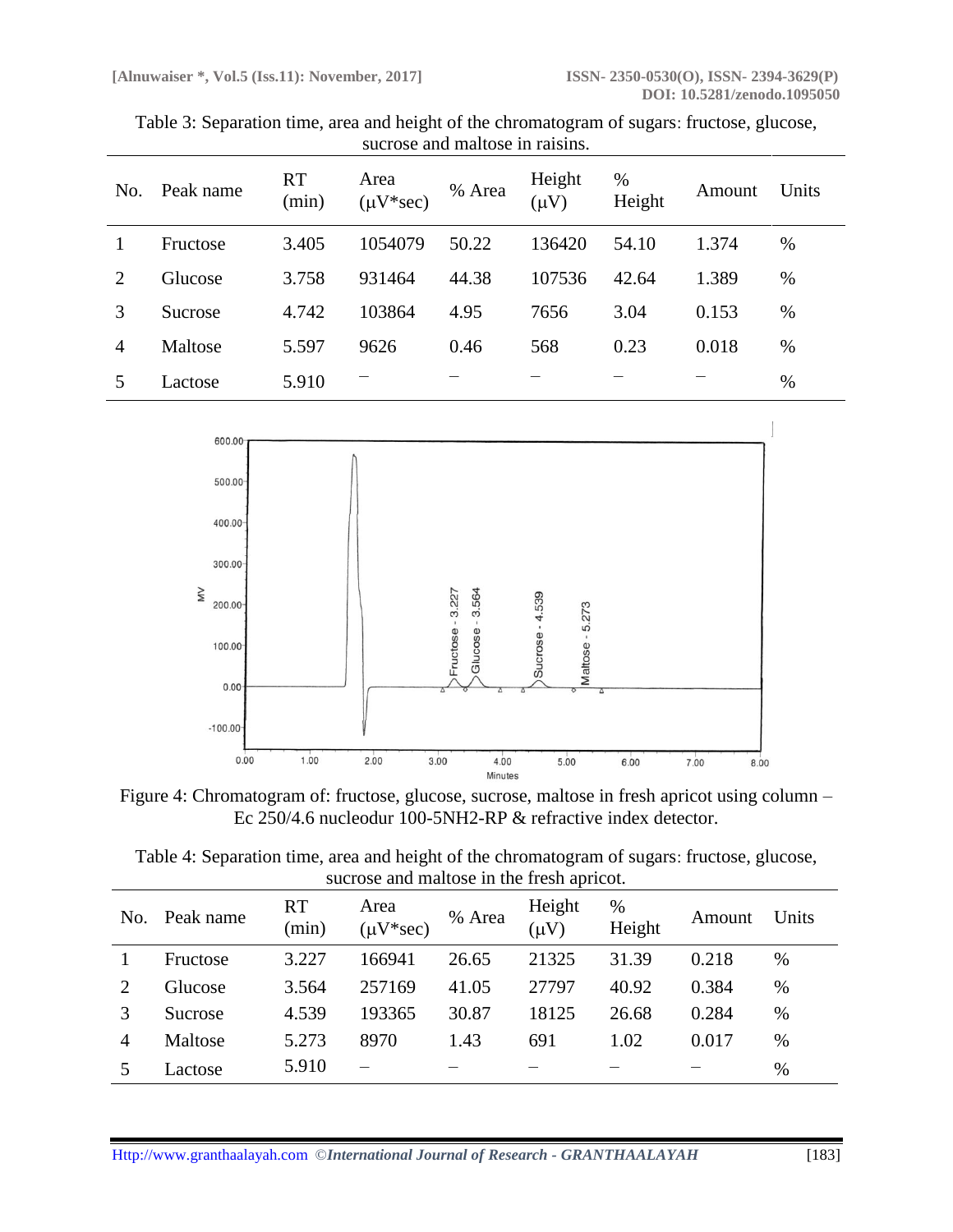| Table 3: Separation time, area and height of the chromatogram of sugars: fructose, glucose, |
|---------------------------------------------------------------------------------------------|
| sucrose and maltose in raisins.                                                             |

| No. | Peak name | <b>RT</b><br>(min) | Area<br>$(\mu V*sec)$ | % Area | Height<br>$(\mu V)$ | %<br>Height | Amount | Units |
|-----|-----------|--------------------|-----------------------|--------|---------------------|-------------|--------|-------|
|     | Fructose  | 3.405              | 1054079               | 50.22  | 136420              | 54.10       | 1.374  | %     |
| 2   | Glucose   | 3.758              | 931464                | 44.38  | 107536              | 42.64       | 1.389  | %     |
| 3   | Sucrose   | 4.742              | 103864                | 4.95   | 7656                | 3.04        | 0.153  | %     |
| 4   | Maltose   | 5.597              | 9626                  | 0.46   | 568                 | 0.23        | 0.018  | %     |
|     | Lactose   | 5.910              |                       |        |                     |             |        | %     |



Figure 4: Chromatogram of: fructose, glucose, sucrose, maltose in fresh apricot using column – Ec 250/4.6 nucleodur 100-5NH2-RP & refractive index detector.

| Table 4: Separation time, area and height of the chromatogram of sugars: fructose, glucose, |
|---------------------------------------------------------------------------------------------|
| sucrose and maltose in the fresh apricot.                                                   |
|                                                                                             |

| No. | Peak name | <b>RT</b><br>(min) | Area<br>$(\mu V*sec)$ | % Area | Height<br>$(\mu V)$ | $\%$<br>Height | Amount | Units |
|-----|-----------|--------------------|-----------------------|--------|---------------------|----------------|--------|-------|
|     | Fructose  | 3.227              | 166941                | 26.65  | 21325               | 31.39          | 0.218  | %     |
|     | Glucose   | 3.564              | 257169                | 41.05  | 27797               | 40.92          | 0.384  | %     |
|     | Sucrose   | 4.539              | 193365                | 30.87  | 18125               | 26.68          | 0.284  | %     |
| 4   | Maltose   | 5.273              | 8970                  | 1.43   | 691                 | 1.02           | 0.017  | %     |
|     | Lactose   | 5.910              |                       |        |                     |                |        | %     |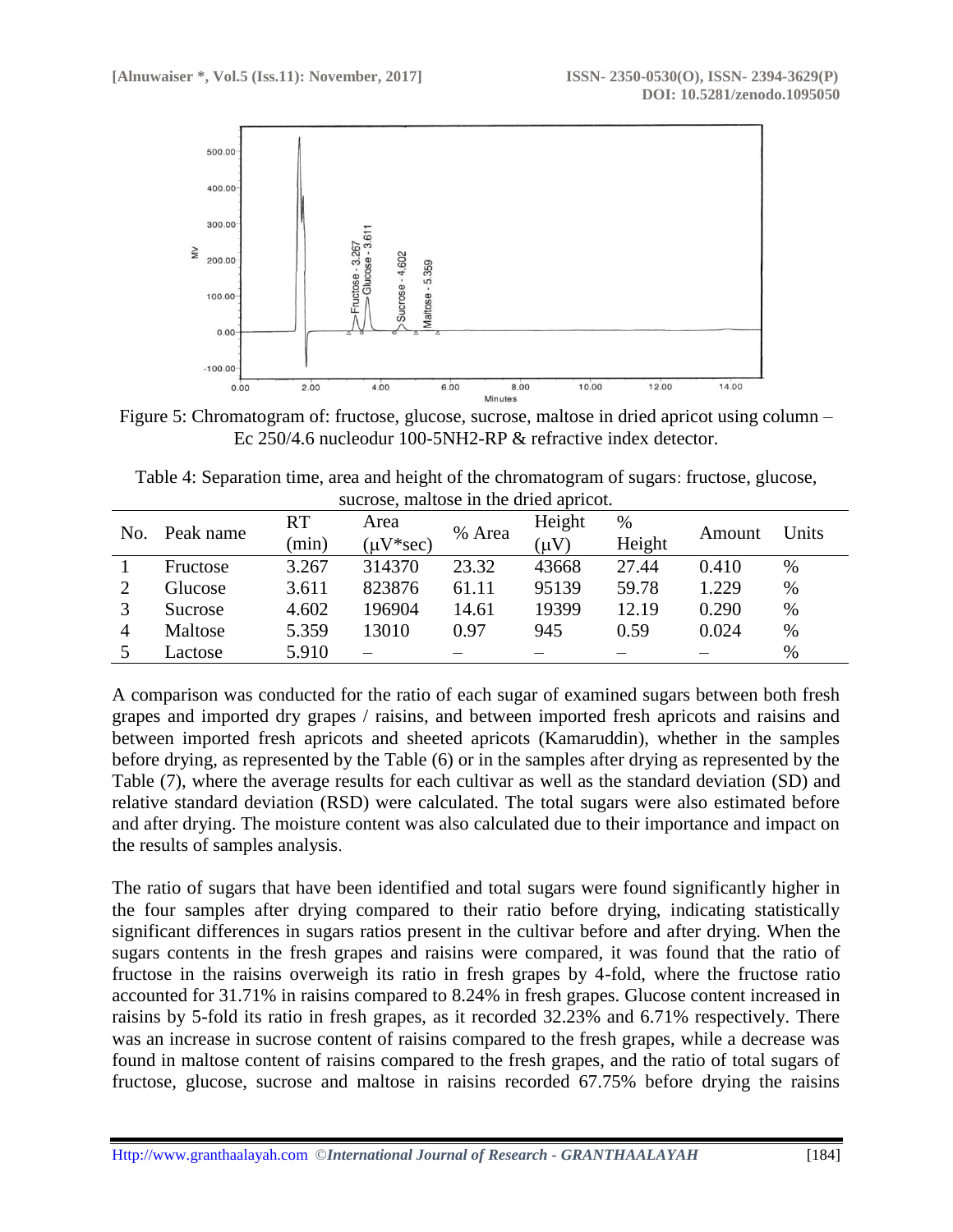

Figure 5: Chromatogram of: fructose, glucose, sucrose, maltose in dried apricot using column – Ec 250/4.6 nucleodur 100-5NH2-RP & refractive index detector.

| Table 4: Separation time, area and height of the chromatogram of sugars: fructose, glucose, |  |
|---------------------------------------------------------------------------------------------|--|
| sucrose, maltose in the dried apricot.                                                      |  |

| No. | Peak name | <b>RT</b><br>(min) | Area<br>$(\mu V^*sec)$ | % Area | Height<br>$(\mu V)$ | $\%$<br>Height | Amount | Units |
|-----|-----------|--------------------|------------------------|--------|---------------------|----------------|--------|-------|
|     | Fructose  | 3.267              | 314370                 | 23.32  | 43668               | 27.44          | 0.410  | $\%$  |
|     | Glucose   | 3.611              | 823876                 | 61.11  | 95139               | 59.78          | 1.229  | $\%$  |
|     | Sucrose   | 4.602              | 196904                 | 14.61  | 19399               | 12.19          | 0.290  | $\%$  |
| 4   | Maltose   | 5.359              | 13010                  | 0.97   | 945                 | 0.59           | 0.024  | $\%$  |
|     | Lactose   | 5.910              |                        |        |                     |                |        | %     |

A comparison was conducted for the ratio of each sugar of examined sugars between both fresh grapes and imported dry grapes / raisins, and between imported fresh apricots and raisins and between imported fresh apricots and sheeted apricots (Kamaruddin), whether in the samples before drying, as represented by the Table (6) or in the samples after drying as represented by the Table (7), where the average results for each cultivar as well as the standard deviation (SD) and relative standard deviation (RSD) were calculated. The total sugars were also estimated before and after drying. The moisture content was also calculated due to their importance and impact on the results of samples analysis.

The ratio of sugars that have been identified and total sugars were found significantly higher in the four samples after drying compared to their ratio before drying, indicating statistically significant differences in sugars ratios present in the cultivar before and after drying. When the sugars contents in the fresh grapes and raisins were compared, it was found that the ratio of fructose in the raisins overweigh its ratio in fresh grapes by 4-fold, where the fructose ratio accounted for 31.71% in raisins compared to 8.24% in fresh grapes. Glucose content increased in raisins by 5-fold its ratio in fresh grapes, as it recorded 32.23% and 6.71% respectively. There was an increase in sucrose content of raisins compared to the fresh grapes, while a decrease was found in maltose content of raisins compared to the fresh grapes, and the ratio of total sugars of fructose, glucose, sucrose and maltose in raisins recorded 67.75% before drying the raisins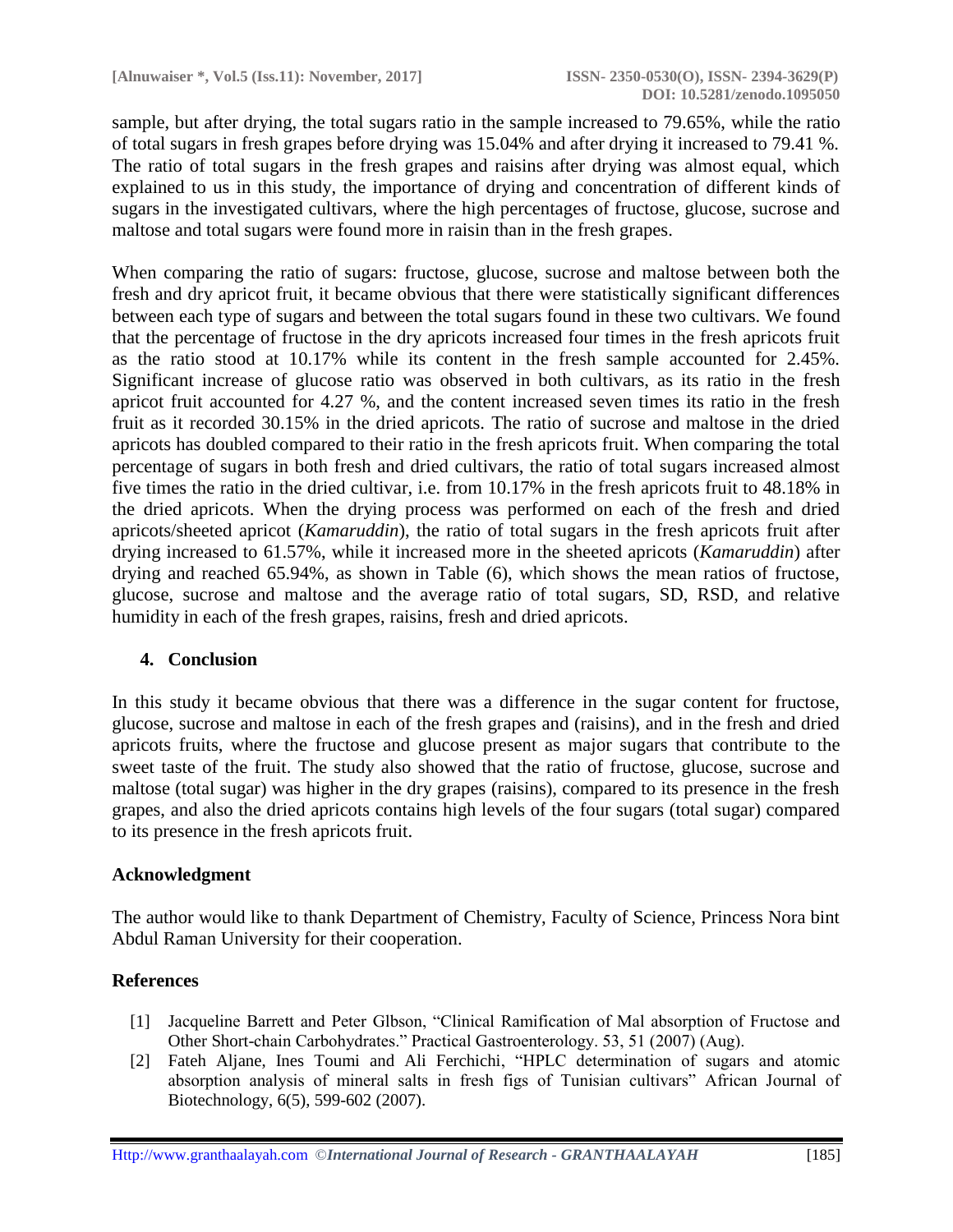sample, but after drying, the total sugars ratio in the sample increased to 79.65%, while the ratio of total sugars in fresh grapes before drying was 15.04% and after drying it increased to 79.41 %. The ratio of total sugars in the fresh grapes and raisins after drying was almost equal, which explained to us in this study, the importance of drying and concentration of different kinds of sugars in the investigated cultivars, where the high percentages of fructose, glucose, sucrose and maltose and total sugars were found more in raisin than in the fresh grapes.

When comparing the ratio of sugars: fructose, glucose, sucrose and maltose between both the fresh and dry apricot fruit, it became obvious that there were statistically significant differences between each type of sugars and between the total sugars found in these two cultivars. We found that the percentage of fructose in the dry apricots increased four times in the fresh apricots fruit as the ratio stood at 10.17% while its content in the fresh sample accounted for 2.45%. Significant increase of glucose ratio was observed in both cultivars, as its ratio in the fresh apricot fruit accounted for 4.27 %, and the content increased seven times its ratio in the fresh fruit as it recorded 30.15% in the dried apricots. The ratio of sucrose and maltose in the dried apricots has doubled compared to their ratio in the fresh apricots fruit. When comparing the total percentage of sugars in both fresh and dried cultivars, the ratio of total sugars increased almost five times the ratio in the dried cultivar, i.e. from 10.17% in the fresh apricots fruit to 48.18% in the dried apricots. When the drying process was performed on each of the fresh and dried apricots/sheeted apricot (*Kamaruddin*), the ratio of total sugars in the fresh apricots fruit after drying increased to 61.57%, while it increased more in the sheeted apricots (*Kamaruddin*) after drying and reached 65.94%, as shown in Table (6), which shows the mean ratios of fructose, glucose, sucrose and maltose and the average ratio of total sugars, SD, RSD, and relative humidity in each of the fresh grapes, raisins, fresh and dried apricots.

# **4. Conclusion**

In this study it became obvious that there was a difference in the sugar content for fructose, glucose, sucrose and maltose in each of the fresh grapes and (raisins), and in the fresh and dried apricots fruits, where the fructose and glucose present as major sugars that contribute to the sweet taste of the fruit. The study also showed that the ratio of fructose, glucose, sucrose and maltose (total sugar) was higher in the dry grapes (raisins), compared to its presence in the fresh grapes, and also the dried apricots contains high levels of the four sugars (total sugar) compared to its presence in the fresh apricots fruit.

### **Acknowledgment**

The author would like to thank Department of Chemistry, Faculty of Science, Princess Nora bint Abdul Raman University for their cooperation.

### **References**

- [1] Jacqueline Barrett and Peter Glbson, "Clinical Ramification of Mal absorption of Fructose and Other Short-chain Carbohydrates." Practical Gastroenterology. 53, 51 (2007) (Aug).
- [2] Fateh Aljane, Ines Toumi and Ali Ferchichi, "HPLC determination of sugars and atomic absorption analysis of mineral salts in fresh figs of Tunisian cultivars" African Journal of Biotechnology, 6(5), 599-602 (2007).